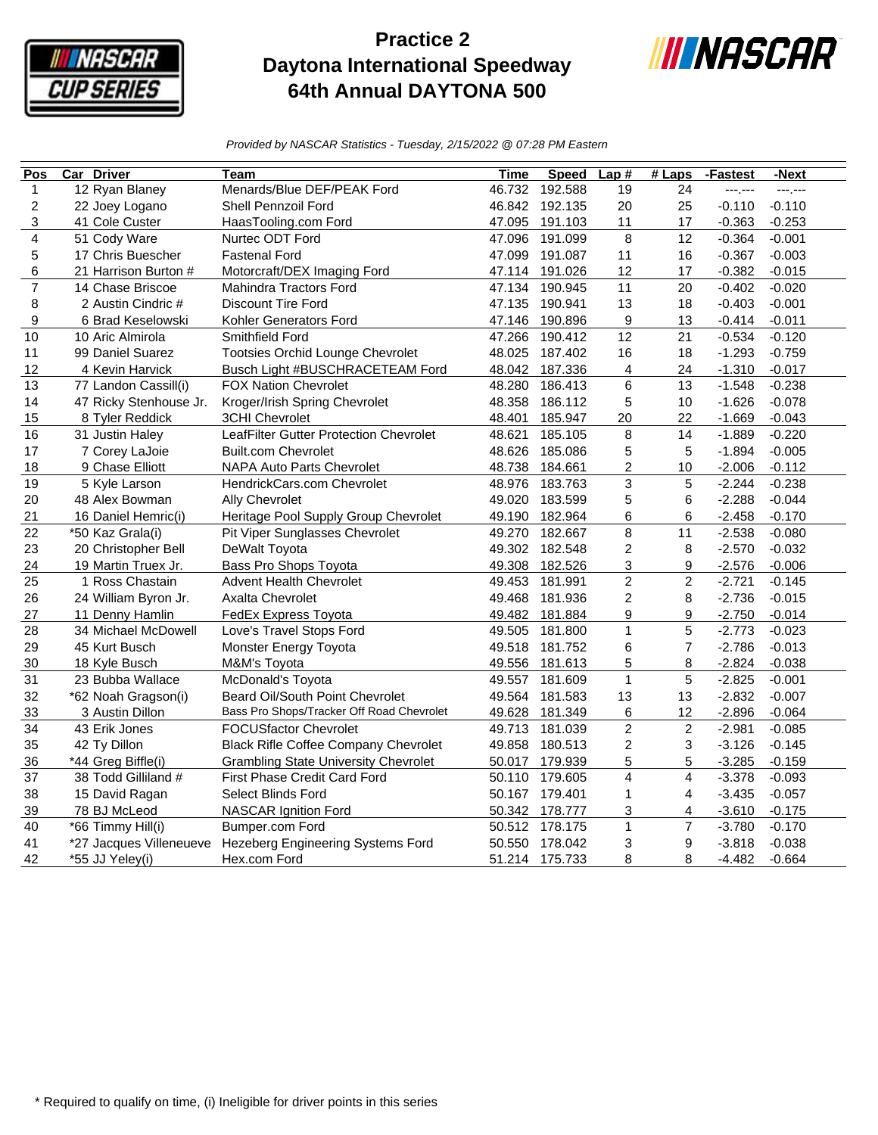

## **Practice 2 Daytona International Speedway 64th Annual DAYTONA 500**



*Provided by NASCAR Statistics - Tuesday, 2/15/2022 @ 07:28 PM Eastern*

| Pos                     | Car Driver             | Team                                                      | <b>Time</b> | <b>Speed</b>   | Lap#                    | $#$ Laps       | -Fastest | -Next    |
|-------------------------|------------------------|-----------------------------------------------------------|-------------|----------------|-------------------------|----------------|----------|----------|
| $\mathbf{1}$            | 12 Ryan Blaney         | Menards/Blue DEF/PEAK Ford                                | 46.732      | 192.588        | 19                      | 24             | ---1---  | ---.---  |
| $\overline{\mathbf{c}}$ | 22 Joey Logano         | Shell Pennzoil Ford                                       | 46.842      | 192.135        | 20                      | 25             | $-0.110$ | $-0.110$ |
| 3                       | 41 Cole Custer         | HaasTooling.com Ford                                      | 47.095      | 191.103        | 11                      | 17             | $-0.363$ | $-0.253$ |
| $\overline{4}$          | 51 Cody Ware           | Nurtec ODT Ford                                           | 47.096      | 191.099        | 8                       | 12             | $-0.364$ | $-0.001$ |
| 5                       | 17 Chris Buescher      | <b>Fastenal Ford</b>                                      | 47.099      | 191.087        | 11                      | 16             | $-0.367$ | $-0.003$ |
| 6                       | 21 Harrison Burton #   | Motorcraft/DEX Imaging Ford                               |             | 47.114 191.026 | 12                      | 17             | $-0.382$ | $-0.015$ |
| $\overline{7}$          | 14 Chase Briscoe       | Mahindra Tractors Ford                                    | 47.134      | 190.945        | 11                      | 20             | $-0.402$ | $-0.020$ |
| 8                       | 2 Austin Cindric #     | <b>Discount Tire Ford</b>                                 | 47.135      | 190.941        | 13                      | 18             | $-0.403$ | $-0.001$ |
| 9                       | 6 Brad Keselowski      | Kohler Generators Ford                                    | 47.146      | 190.896        | $\boldsymbol{9}$        | 13             | $-0.414$ | $-0.011$ |
| 10                      | 10 Aric Almirola       | Smithfield Ford                                           | 47.266      | 190.412        | 12                      | 21             | $-0.534$ | $-0.120$ |
| 11                      | 99 Daniel Suarez       | Tootsies Orchid Lounge Chevrolet                          | 48.025      | 187.402        | 16                      | 18             | $-1.293$ | $-0.759$ |
| 12                      | 4 Kevin Harvick        | Busch Light #BUSCHRACETEAM Ford                           | 48.042      | 187.336        | $\overline{4}$          | 24             | $-1.310$ | $-0.017$ |
| 13                      | 77 Landon Cassill(i)   | <b>FOX Nation Chevrolet</b>                               | 48.280      | 186.413        | 6                       | 13             | $-1.548$ | $-0.238$ |
| 14                      | 47 Ricky Stenhouse Jr. | Kroger/Irish Spring Chevrolet                             | 48.358      | 186.112        | 5                       | 10             | $-1.626$ | $-0.078$ |
| 15                      | 8 Tyler Reddick        | 3CHI Chevrolet                                            | 48.401      | 185.947        | 20                      | 22             | $-1.669$ | $-0.043$ |
| 16                      | 31 Justin Haley        | LeafFilter Gutter Protection Chevrolet                    | 48.621      | 185.105        | 8                       | 14             | $-1.889$ | $-0.220$ |
| 17                      | 7 Corey LaJoie         | <b>Built.com Chevrolet</b>                                | 48.626      | 185.086        | 5                       | 5              | $-1.894$ | $-0.005$ |
| 18                      | 9 Chase Elliott        | NAPA Auto Parts Chevrolet                                 | 48.738      | 184.661        | $\overline{c}$          | 10             | $-2.006$ | $-0.112$ |
| 19                      | 5 Kyle Larson          | HendrickCars.com Chevrolet                                | 48.976      | 183.763        | 3                       | 5              | $-2.244$ | $-0.238$ |
| 20                      | 48 Alex Bowman         | Ally Chevrolet                                            | 49.020      | 183.599        | 5                       | 6              | $-2.288$ | $-0.044$ |
| 21                      | 16 Daniel Hemric(i)    | Heritage Pool Supply Group Chevrolet                      | 49.190      | 182.964        | 6                       | 6              | $-2.458$ | $-0.170$ |
| 22                      | *50 Kaz Grala(i)       | Pit Viper Sunglasses Chevrolet                            | 49.270      | 182.667        | 8                       | 11             | $-2.538$ | $-0.080$ |
| 23                      | 20 Christopher Bell    | DeWalt Toyota                                             | 49.302      | 182.548        | $\overline{c}$          | 8              | $-2.570$ | $-0.032$ |
| 24                      | 19 Martin Truex Jr.    | Bass Pro Shops Toyota                                     | 49.308      | 182.526        | 3                       | 9              | $-2.576$ | $-0.006$ |
| 25                      | 1 Ross Chastain        | <b>Advent Health Chevrolet</b>                            | 49.453      | 181.991        | $\overline{c}$          | $\overline{c}$ | $-2.721$ | $-0.145$ |
| 26                      | 24 William Byron Jr.   | <b>Axalta Chevrolet</b>                                   | 49.468      | 181.936        | $\overline{c}$          | 8              | $-2.736$ | $-0.015$ |
| 27                      | 11 Denny Hamlin        | FedEx Express Toyota                                      | 49.482      | 181.884        | 9                       | 9              | $-2.750$ | $-0.014$ |
| 28                      | 34 Michael McDowell    | Love's Travel Stops Ford                                  | 49.505      | 181.800        | 1                       | 5              | $-2.773$ | $-0.023$ |
| 29                      | 45 Kurt Busch          | Monster Energy Toyota                                     | 49.518      | 181.752        | 6                       | $\overline{7}$ | $-2.786$ | $-0.013$ |
| 30                      | 18 Kyle Busch          | M&M's Toyota                                              | 49.556      | 181.613        | 5                       | 8              | $-2.824$ | $-0.038$ |
| 31                      | 23 Bubba Wallace       | McDonald's Toyota                                         | 49.557      | 181.609        | $\mathbf{1}$            | 5              | $-2.825$ | $-0.001$ |
| 32                      | *62 Noah Gragson(i)    | Beard Oil/South Point Chevrolet                           | 49.564      | 181.583        | 13                      | 13             | $-2.832$ | $-0.007$ |
| 33                      | 3 Austin Dillon        | Bass Pro Shops/Tracker Off Road Chevrolet                 | 49.628      | 181.349        | 6                       | 12             | $-2.896$ | $-0.064$ |
| 34                      | 43 Erik Jones          | <b>FOCUSfactor Chevrolet</b>                              | 49.713      | 181.039        | $\overline{\mathbf{c}}$ | $\overline{c}$ | $-2.981$ | $-0.085$ |
| 35                      | 42 Ty Dillon           | <b>Black Rifle Coffee Company Chevrolet</b>               | 49.858      | 180.513        | $\overline{\mathbf{c}}$ | 3              | $-3.126$ | $-0.145$ |
| 36                      | *44 Greg Biffle(i)     | <b>Grambling State University Chevrolet</b>               | 50.017      | 179.939        | 5                       | 5              | $-3.285$ | $-0.159$ |
| 37                      | 38 Todd Gilliland #    | First Phase Credit Card Ford                              | 50.110      | 179.605        | 4                       | 4              | $-3.378$ | $-0.093$ |
| 38                      | 15 David Ragan         | Select Blinds Ford                                        |             | 50.167 179.401 | 1                       | 4              | $-3.435$ | $-0.057$ |
| 39                      | 78 BJ McLeod           | NASCAR Ignition Ford                                      | 50.342      | 178.777        | 3                       | 4              | $-3.610$ | $-0.175$ |
| 40                      | *66 Timmy Hill(i)      | Bumper.com Ford                                           | 50.512      | 178.175        | 1                       | $\overline{7}$ | $-3.780$ | $-0.170$ |
| 41                      |                        | *27 Jacques Villeneueve Hezeberg Engineering Systems Ford | 50.550      | 178.042        | 3                       | 9              | $-3.818$ | $-0.038$ |
| 42                      | *55 JJ Yeley(i)        | Hex.com Ford                                              |             | 51.214 175.733 | 8                       | 8              | $-4.482$ | $-0.664$ |